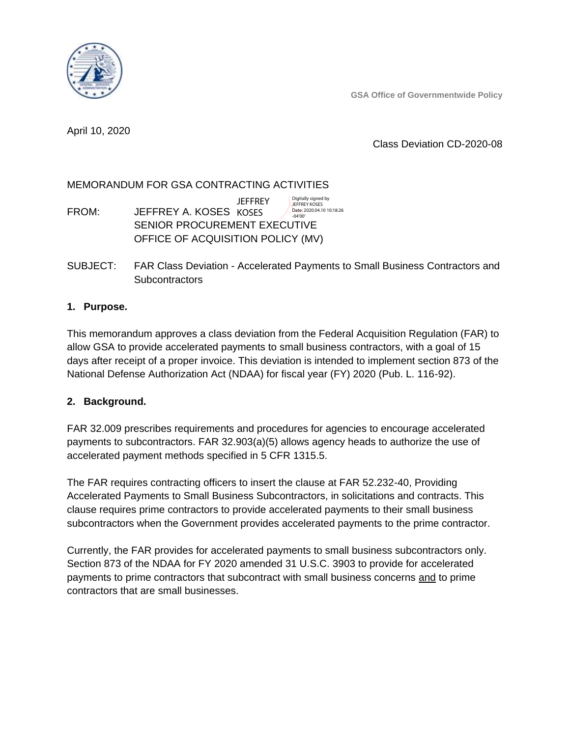**GSA Office of Governmentwide Policy**

April 10, 2020

Class Deviation CD-2020-08

## MEMORANDUM FOR GSA CONTRACTING ACTIVITIES

FROM: JEFFREY A. KOSES KOSES SENIOR PROCUREMENT EXECUTIVE OFFICE OF ACQUISITION POLICY (MV) **JEFFREY** Digitally signed by JEFFREY KOSES Date: 2020.04.10 10:18:26 -04'00'

SUBJECT: FAR Class Deviation - Accelerated Payments to Small Business Contractors and **Subcontractors** 

## **1. Purpose.**

This memorandum approves a class deviation from the Federal Acquisition Regulation (FAR) to allow GSA to provide accelerated payments to small business contractors, with a goal of 15 days after receipt of a proper invoice. This deviation is intended to implement section 873 of the National Defense Authorization Act (NDAA) for fiscal year (FY) 2020 (Pub. L. 116-92).

#### **2. Background.**

FAR 32.009 prescribes requirements and procedures for agencies to encourage accelerated payments to subcontractors. FAR 32.903(a)(5) allows agency heads to authorize the use of accelerated payment methods specified in 5 CFR 1315.5.

The FAR requires contracting officers to insert the clause at FAR 52.232-40, Providing Accelerated Payments to Small Business Subcontractors, in solicitations and contracts. This clause requires prime contractors to provide accelerated payments to their small business subcontractors when the Government provides accelerated payments to the prime contractor.

Currently, the FAR provides for accelerated payments to small business subcontractors only. Section 873 of the NDAA for FY 2020 amended 31 U.S.C. 3903 to provide for accelerated payments to prime contractors that subcontract with small business concerns and to prime contractors that are small businesses.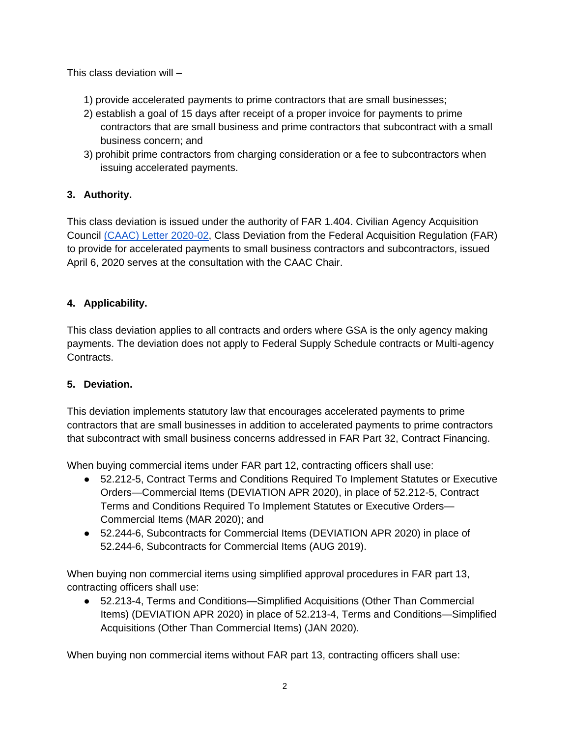This class deviation will –

- 1) provide accelerated payments to prime contractors that are small businesses;
- 2) establish a goal of 15 days after receipt of a proper invoice for payments to prime contractors that are small business and prime contractors that subcontract with a small business concern; and
- 3) prohibit prime contractors from charging consideration or a fee to subcontractors when issuing accelerated payments.

# **3. Authority.**

This class deviation is issued under the authority of FAR 1.404. Civilian Agency Acquisition Council [\(CAAC\) Letter 2020-02,](https://www.acquisition.gov/sites/default/files/page_file_uploads/CAAC-Letter-2020-02-Accelerated-payments-to-SB-contractors-and-subcontractors040620-1.pdf) Class Deviation from the Federal Acquisition Regulation (FAR) to provide for accelerated payments to small business contractors and subcontractors, issued April 6, 2020 serves at the consultation with the CAAC Chair.

# **4. Applicability.**

This class deviation applies to all contracts and orders where GSA is the only agency making payments. The deviation does not apply to Federal Supply Schedule contracts or Multi-agency Contracts.

## **5. Deviation.**

This deviation implements statutory law that encourages accelerated payments to prime contractors that are small businesses in addition to accelerated payments to prime contractors that subcontract with small business concerns addressed in FAR Part 32, Contract Financing.

When buying commercial items under FAR part 12, contracting officers shall use:

- 52.212-5, Contract Terms and Conditions Required To Implement Statutes or Executive Orders—Commercial Items (DEVIATION APR 2020), in place of 52.212-5, Contract Terms and Conditions Required To Implement Statutes or Executive Orders— Commercial Items (MAR 2020); and
- 52.244-6, Subcontracts for Commercial Items (DEVIATION APR 2020) in place of 52.244-6, Subcontracts for Commercial Items (AUG 2019).

When buying non commercial items using simplified approval procedures in FAR part 13, contracting officers shall use:

● 52.213-4, Terms and Conditions—Simplified Acquisitions (Other Than Commercial Items) (DEVIATION APR 2020) in place of 52.213-4, Terms and Conditions—Simplified Acquisitions (Other Than Commercial Items) (JAN 2020).

When buying non commercial items without FAR part 13, contracting officers shall use: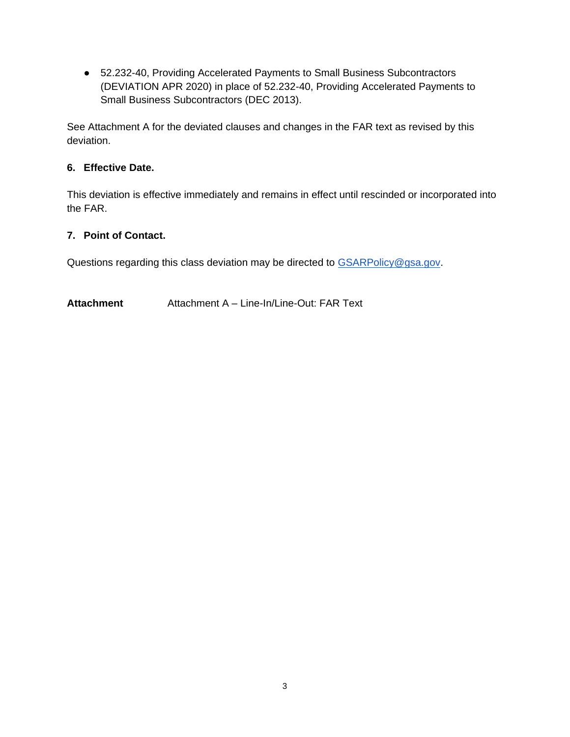● 52.232-40, Providing Accelerated Payments to Small Business Subcontractors (DEVIATION APR 2020) in place of 52.232-40, Providing Accelerated Payments to Small Business Subcontractors (DEC 2013).

See Attachment A for the deviated clauses and changes in the FAR text as revised by this deviation.

# **6. Effective Date.**

This deviation is effective immediately and remains in effect until rescinded or incorporated into the FAR.

# **7. Point of Contact.**

Questions regarding this class deviation may be directed to [GSARPolicy@gsa.gov.](mailto:GSARPolicy@gsa.gov)

**Attachment** Attachment A – Line-In/Line-Out: FAR Text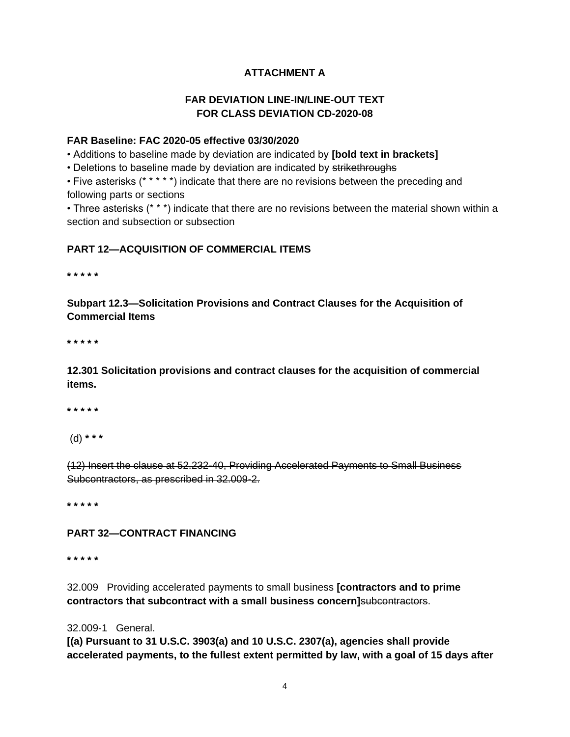# **ATTACHMENT A**

## **FAR DEVIATION LINE-IN/LINE-OUT TEXT FOR CLASS DEVIATION CD-2020-08**

#### **FAR Baseline: FAC 2020-05 effective 03/30/2020**

• Additions to baseline made by deviation are indicated by **[bold text in brackets]**

• Deletions to baseline made by deviation are indicated by strikethroughs

• Five asterisks (\* \* \* \* \*) indicate that there are no revisions between the preceding and following parts or sections

• Three asterisks (\* \* \*) indicate that there are no revisions between the material shown within a section and subsection or subsection

## **PART 12—ACQUISITION OF COMMERCIAL ITEMS**

**\* \* \* \* \***

**Subpart 12.3—Solicitation Provisions and Contract Clauses for the Acquisition of Commercial Items**

**\* \* \* \* \***

**12.301 Solicitation provisions and contract clauses for the acquisition of commercial items.**

**\* \* \* \* \***

(d) **\* \* \***

(12) Insert the clause at 52.232-40, Providing Accelerated Payments to Small Business Subcontractors, as prescribed in 32.009-2.

**\* \* \* \* \***

#### **PART 32—CONTRACT FINANCING**

**\* \* \* \* \***

32.009Providing accelerated payments to small business **[contractors and to prime contractors that subcontract with a small business concern]**subcontractors.

32.009-1 General.

**[(a) Pursuant to 31 U.S.C. 3903(a) and 10 U.S.C. 2307(a), agencies shall provide accelerated payments, to the fullest extent permitted by law, with a goal of 15 days after**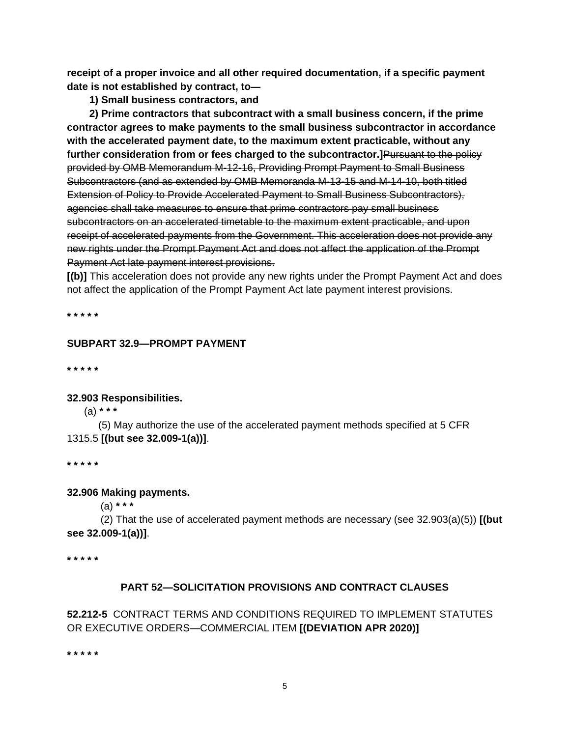**receipt of a proper invoice and all other required documentation, if a specific payment date is not established by contract, to—**

**1) Small business contractors, and**

**2) Prime contractors that subcontract with a small business concern, if the prime contractor agrees to make payments to the small business subcontractor in accordance with the accelerated payment date, to the maximum extent practicable, without any further consideration from or fees charged to the subcontractor.]**Pursuant to the policy provided by OMB Memorandum M-12-16, Providing Prompt Payment to Small Business Subcontractors (and as extended by OMB Memoranda M-13-15 and M-14-10, both titled Extension of Policy to Provide Accelerated Payment to Small Business Subcontractors), agencies shall take measures to ensure that prime contractors pay small business subcontractors on an accelerated timetable to the maximum extent practicable, and upon receipt of accelerated payments from the Government. This acceleration does not provide any new rights under the Prompt Payment Act and does not affect the application of the Prompt Payment Act late payment interest provisions.

**[(b)]** This acceleration does not provide any new rights under the Prompt Payment Act and does not affect the application of the Prompt Payment Act late payment interest provisions.

**\* \* \* \* \***

## **SUBPART 32.9—PROMPT PAYMENT**

**\* \* \* \* \***

#### **32.903 Responsibilities.**

(a) **\* \* \***

 (5) May authorize the use of the accelerated payment methods specified at 5 CFR 1315.5 **[(but see 32.009-1(a))]**.

**\* \* \* \* \***

#### **32.906 Making payments.**

(a) **\* \* \***

 (2) That the use of accelerated payment methods are necessary (see 32.903(a)(5)) **[(but see 32.009-1(a))]**.

**\* \* \* \* \***

#### **PART 52—SOLICITATION PROVISIONS AND CONTRACT CLAUSES**

## **52.212-5** CONTRACT TERMS AND CONDITIONS REQUIRED TO IMPLEMENT STATUTES OR EXECUTIVE ORDERS—COMMERCIAL ITEM **[(DEVIATION APR 2020)]**

**\* \* \* \* \***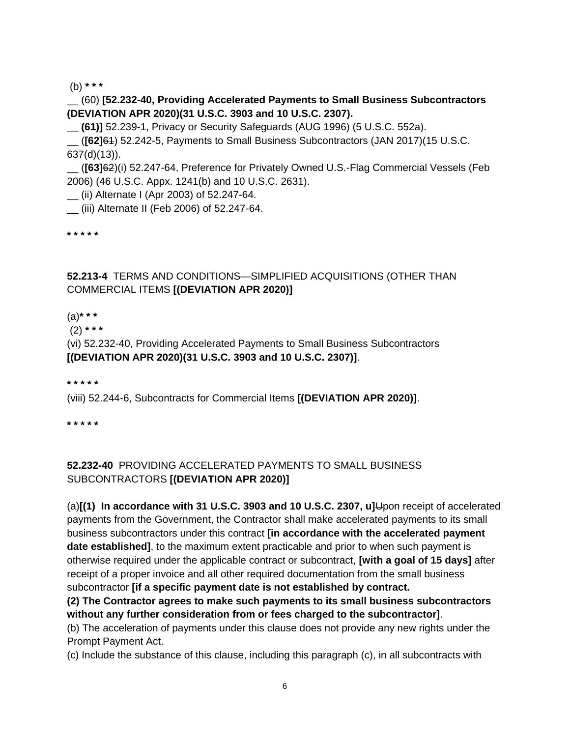(b) **\* \* \***

\_\_ (60) **[52.232-40, Providing Accelerated Payments to Small Business Subcontractors (DEVIATION APR 2020)(31 U.S.C. 3903 and 10 U.S.C. 2307).**

**\_\_ (61)]** 52.239-1, Privacy or Security Safeguards (AUG 1996) (5 U.S.C. 552a).

\_\_ (**[62]**61) 52.242-5, Payments to Small Business Subcontractors (JAN 2017)(15 U.S.C. 637(d)(13)).

\_\_ (**[63]**62)(i) 52.247-64, Preference for Privately Owned U.S.-Flag Commercial Vessels (Feb 2006) (46 U.S.C. Appx. 1241(b) and 10 U.S.C. 2631).

\_\_ (ii) Alternate I (Apr 2003) of 52.247-64.

\_\_ (iii) Alternate II (Feb 2006) of 52.247-64.

**\* \* \* \* \***

## **52.213-4** TERMS AND CONDITIONS—SIMPLIFIED ACQUISITIONS (OTHER THAN COMMERCIAL ITEMS **[(DEVIATION APR 2020)]**

(a)**\* \* \***

(2) **\* \* \***

(vi) 52.232-40, Providing Accelerated Payments to Small Business Subcontractors **[(DEVIATION APR 2020)(31 U.S.C. 3903 and 10 U.S.C. 2307)]**.

**\* \* \* \* \***

(viii) 52.244-6, Subcontracts for Commercial Items **[(DEVIATION APR 2020)]**.

**\* \* \* \* \***

## **52.232-40** PROVIDING ACCELERATED PAYMENTS TO SMALL BUSINESS SUBCONTRACTORS **[(DEVIATION APR 2020)]**

(a)**[(1) In accordance with 31 U.S.C. 3903 and 10 U.S.C. 2307, u]**Upon receipt of accelerated payments from the Government, the Contractor shall make accelerated payments to its small business subcontractors under this contract **[in accordance with the accelerated payment date established]**, to the maximum extent practicable and prior to when such payment is otherwise required under the applicable contract or subcontract, **[with a goal of 15 days]** after receipt of a proper invoice and all other required documentation from the small business subcontractor **[if a specific payment date is not established by contract.**

**(2) The Contractor agrees to make such payments to its small business subcontractors without any further consideration from or fees charged to the subcontractor]**.

(b) The acceleration of payments under this clause does not provide any new rights under the Prompt Payment Act.

(c) Include the substance of this clause, including this paragraph (c), in all subcontracts with